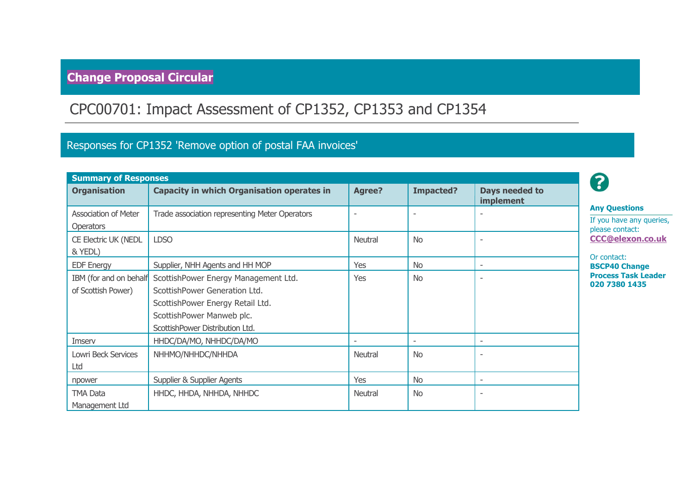# **Change Proposal Circular**

# CPC00701: Impact Assessment of CP1352, CP1353 and CP1354

### Responses for CP1352 'Remove option of postal FAA invoices'

| <b>Summary of Responses</b>                  |                                                                                                                                                                           |               |                          |                             |
|----------------------------------------------|---------------------------------------------------------------------------------------------------------------------------------------------------------------------------|---------------|--------------------------|-----------------------------|
| <b>Organisation</b>                          | <b>Capacity in which Organisation operates in</b>                                                                                                                         | <b>Agree?</b> | <b>Impacted?</b>         | Days needed to<br>implement |
| Association of Meter<br><b>Operators</b>     | Trade association representing Meter Operators                                                                                                                            |               | $\overline{\phantom{0}}$ |                             |
| CE Electric UK (NEDL<br>& YEDL)              | <b>LDSO</b>                                                                                                                                                               | Neutral       | <b>No</b>                |                             |
| <b>EDF Energy</b>                            | Supplier, NHH Agents and HH MOP                                                                                                                                           | Yes           | <b>No</b>                | $\overline{\phantom{0}}$    |
| IBM (for and on behalf<br>of Scottish Power) | ScottishPower Energy Management Ltd.<br>ScottishPower Generation Ltd.<br>ScottishPower Energy Retail Ltd.<br>ScottishPower Manweb plc.<br>ScottishPower Distribution Ltd. | Yes           | <b>No</b>                |                             |
| Imserv                                       | HHDC/DA/MO, NHHDC/DA/MO                                                                                                                                                   |               | $\overline{\phantom{0}}$ | $\overline{\phantom{a}}$    |
| Lowri Beck Services                          | NHHMO/NHHDC/NHHDA                                                                                                                                                         | Neutral       | <b>No</b>                |                             |
| npower                                       | <b>Supplier &amp; Supplier Agents</b>                                                                                                                                     | Yes           | <b>No</b>                |                             |
| <b>TMA Data</b><br>Management Ltd            | HHDC, HHDA, NHHDA, NHHDC                                                                                                                                                  | Neutral       | <b>No</b>                |                             |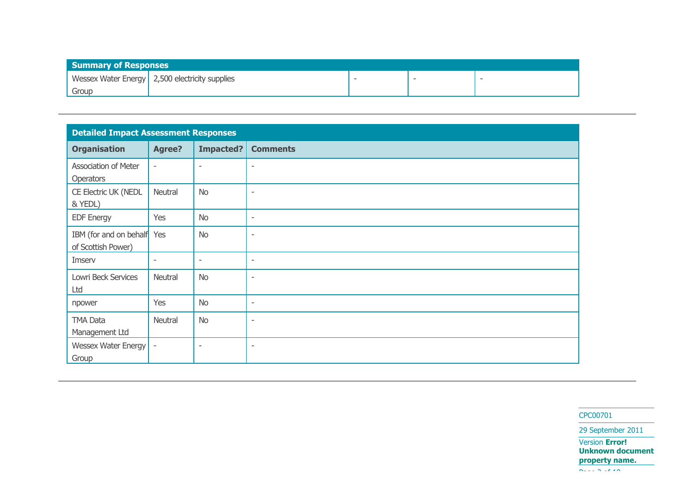| <b>Summary of Responses</b> |                                                |                          |  |
|-----------------------------|------------------------------------------------|--------------------------|--|
|                             | Wessex Water Energy 2,500 electricity supplies | $\overline{\phantom{a}}$ |  |
| Group                       |                                                |                          |  |

| <b>Detailed Impact Assessment Responses</b>      |                          |                          |                          |  |
|--------------------------------------------------|--------------------------|--------------------------|--------------------------|--|
| <b>Organisation</b>                              | <b>Agree?</b>            | <b>Impacted?</b>         | <b>Comments</b>          |  |
| Association of Meter<br>Operators                | $\overline{\phantom{a}}$ | $\overline{\phantom{a}}$ | $\overline{\phantom{a}}$ |  |
| CE Electric UK (NEDL<br>& YEDL)                  | Neutral                  | <b>No</b>                | $\overline{\phantom{a}}$ |  |
| <b>EDF Energy</b>                                | Yes                      | <b>No</b>                | $\overline{\phantom{a}}$ |  |
| IBM (for and on behalf Yes<br>of Scottish Power) |                          | <b>No</b>                | $\overline{\phantom{a}}$ |  |
| Imserv                                           | $\overline{\phantom{a}}$ | $\overline{\phantom{a}}$ | $\sim$                   |  |
| Lowri Beck Services<br>Ltd                       | Neutral                  | <b>No</b>                | $\overline{\phantom{a}}$ |  |
| npower                                           | Yes                      | <b>No</b>                | $\sim$                   |  |
| TMA Data<br>Management Ltd                       | Neutral                  | <b>No</b>                | $\overline{\phantom{0}}$ |  |
| Wessex Water Energy<br>Group                     | $\overline{\phantom{a}}$ | $\overline{\phantom{a}}$ | $\overline{\phantom{a}}$ |  |

CPC00701

29 September 2011

Version **Error! Unknown document property name.**

Page 2 of 10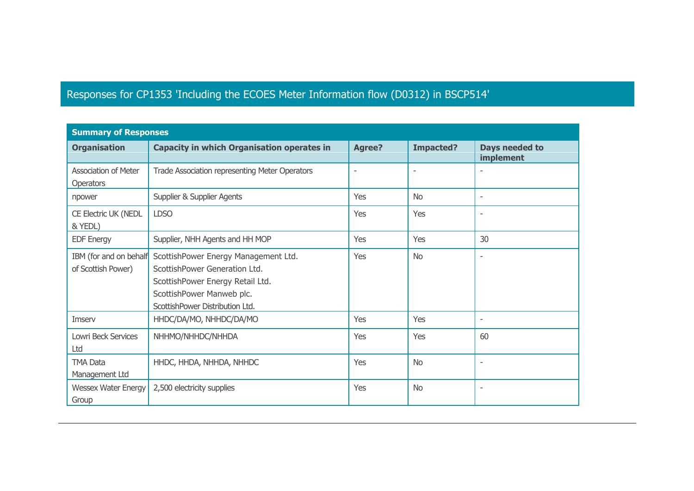### Responses for CP1353 'Including the ECOES Meter Information flow (D0312) in BSCP514'

| <b>Summary of Responses</b>                     |                                                                                                                                                                           |               |                  |                             |  |  |  |
|-------------------------------------------------|---------------------------------------------------------------------------------------------------------------------------------------------------------------------------|---------------|------------------|-----------------------------|--|--|--|
| <b>Organisation</b>                             | <b>Capacity in which Organisation operates in</b>                                                                                                                         | <b>Agree?</b> | <b>Impacted?</b> | Days needed to<br>implement |  |  |  |
| <b>Association of Meter</b><br><b>Operators</b> | Trade Association representing Meter Operators                                                                                                                            |               | ٠                | $\overline{\phantom{a}}$    |  |  |  |
| npower                                          | Supplier & Supplier Agents                                                                                                                                                | Yes           | <b>No</b>        | $\overline{\phantom{a}}$    |  |  |  |
| CE Electric UK (NEDL<br>& YEDL)                 | <b>LDSO</b>                                                                                                                                                               | Yes           | Yes              | $\overline{\phantom{a}}$    |  |  |  |
| <b>EDF Energy</b>                               | Supplier, NHH Agents and HH MOP                                                                                                                                           | Yes           | Yes              | 30                          |  |  |  |
| IBM (for and on behalf<br>of Scottish Power)    | ScottishPower Energy Management Ltd.<br>ScottishPower Generation Ltd.<br>ScottishPower Energy Retail Ltd.<br>ScottishPower Manweb plc.<br>ScottishPower Distribution Ltd. | Yes           | <b>No</b>        | $\overline{\phantom{a}}$    |  |  |  |
| Imserv                                          | HHDC/DA/MO, NHHDC/DA/MO                                                                                                                                                   | Yes           | Yes              | $\overline{\phantom{a}}$    |  |  |  |
| Lowri Beck Services<br>Ltd                      | NHHMO/NHHDC/NHHDA                                                                                                                                                         | Yes           | Yes              | 60                          |  |  |  |
| <b>TMA Data</b><br>Management Ltd               | HHDC, HHDA, NHHDA, NHHDC                                                                                                                                                  | Yes           | <b>No</b>        | $\overline{\phantom{a}}$    |  |  |  |
| <b>Wessex Water Energy</b><br>Group             | 2,500 electricity supplies                                                                                                                                                | Yes           | <b>No</b>        | $\overline{\phantom{a}}$    |  |  |  |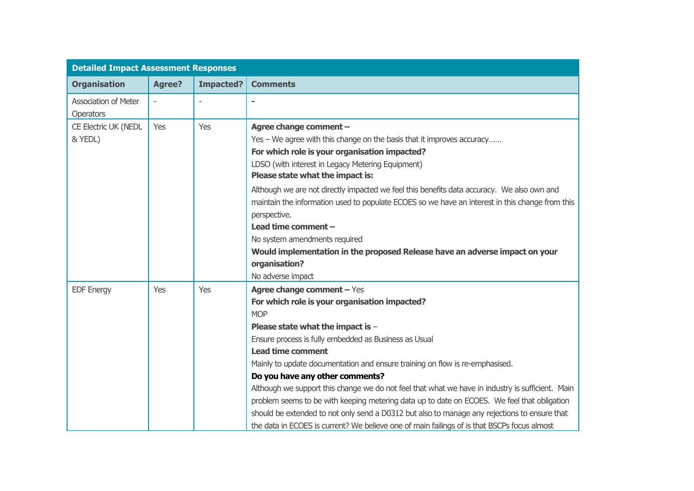| <b>Detailed Impact Assessment Responses</b>     |               |                          |                                                                                                                                                                                                                                                                                                                                                                                                                                                                                                                                                                                                                                                                                                                                          |
|-------------------------------------------------|---------------|--------------------------|------------------------------------------------------------------------------------------------------------------------------------------------------------------------------------------------------------------------------------------------------------------------------------------------------------------------------------------------------------------------------------------------------------------------------------------------------------------------------------------------------------------------------------------------------------------------------------------------------------------------------------------------------------------------------------------------------------------------------------------|
| <b>Organisation</b>                             | <b>Agree?</b> | <b>Impacted?</b>         | <b>Comments</b>                                                                                                                                                                                                                                                                                                                                                                                                                                                                                                                                                                                                                                                                                                                          |
| <b>Association of Meter</b><br><b>Operators</b> |               | $\overline{\phantom{a}}$ |                                                                                                                                                                                                                                                                                                                                                                                                                                                                                                                                                                                                                                                                                                                                          |
| CE Electric UK (NEDL<br>& YEDL)                 | Yes           | Yes                      | Agree change comment -<br>Yes – We agree with this change on the basis that it improves accuracy<br>For which role is your organisation impacted?<br>LDSO (with interest in Legacy Metering Equipment)<br>Please state what the impact is:<br>Although we are not directly impacted we feel this benefits data accuracy. We also own and<br>maintain the information used to populate ECOES so we have an interest in this change from this<br>perspective.<br>Lead time comment -<br>No system amendments required<br>Would implementation in the proposed Release have an adverse impact on your<br>organisation?<br>No adverse impact                                                                                                 |
| <b>EDF Energy</b>                               | Yes           | Yes                      | Agree change comment - Yes<br>For which role is your organisation impacted?<br><b>MOP</b><br>Please state what the impact is -<br>Ensure process is fully embedded as Business as Usual<br><b>Lead time comment</b><br>Mainly to update documentation and ensure training on flow is re-emphasised.<br>Do you have any other comments?<br>Although we support this change we do not feel that what we have in industry is sufficient. Main<br>problem seems to be with keeping metering data up to date on ECOES. We feel that obligation<br>should be extended to not only send a D0312 but also to manage any rejections to ensure that<br>the data in ECOES is current? We believe one of main failings of is that BSCPs focus almost |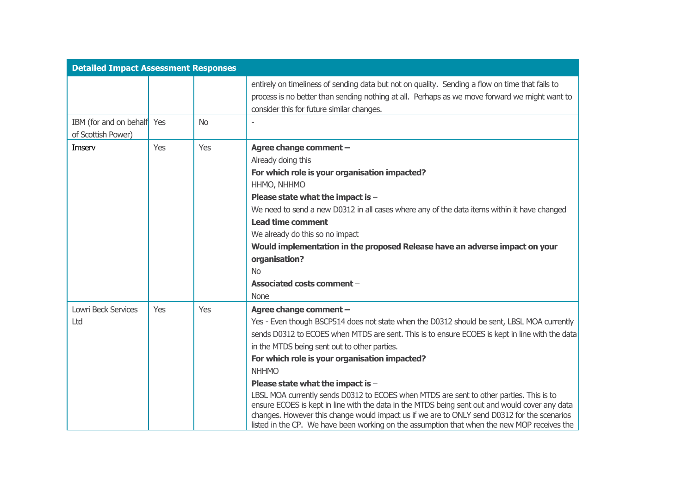| <b>Detailed Impact Assessment Responses</b>      |     |           |                                                                                                                                                                                                                                                                                                                                                                                                                                                                                                                                                                                                                                                                                                                                                                         |
|--------------------------------------------------|-----|-----------|-------------------------------------------------------------------------------------------------------------------------------------------------------------------------------------------------------------------------------------------------------------------------------------------------------------------------------------------------------------------------------------------------------------------------------------------------------------------------------------------------------------------------------------------------------------------------------------------------------------------------------------------------------------------------------------------------------------------------------------------------------------------------|
|                                                  |     |           | entirely on timeliness of sending data but not on quality. Sending a flow on time that fails to<br>process is no better than sending nothing at all. Perhaps as we move forward we might want to<br>consider this for future similar changes.                                                                                                                                                                                                                                                                                                                                                                                                                                                                                                                           |
| IBM (for and on behalf Yes<br>of Scottish Power) |     | <b>No</b> |                                                                                                                                                                                                                                                                                                                                                                                                                                                                                                                                                                                                                                                                                                                                                                         |
| Imserv                                           | Yes | Yes       | Agree change comment -<br>Already doing this<br>For which role is your organisation impacted?<br>HHMO, NHHMO<br>Please state what the impact is -<br>We need to send a new D0312 in all cases where any of the data items within it have changed<br><b>Lead time comment</b><br>We already do this so no impact<br>Would implementation in the proposed Release have an adverse impact on your<br>organisation?<br><b>No</b><br>Associated costs comment -<br><b>None</b>                                                                                                                                                                                                                                                                                               |
| <b>Lowri Beck Services</b><br>Ltd                | Yes | Yes       | Agree change comment -<br>Yes - Even though BSCP514 does not state when the D0312 should be sent, LBSL MOA currently<br>sends D0312 to ECOES when MTDS are sent. This is to ensure ECOES is kept in line with the data<br>in the MTDS being sent out to other parties.<br>For which role is your organisation impacted?<br><b>NHHMO</b><br>Please state what the impact is -<br>LBSL MOA currently sends D0312 to ECOES when MTDS are sent to other parties. This is to<br>ensure ECOES is kept in line with the data in the MTDS being sent out and would cover any data<br>changes. However this change would impact us if we are to ONLY send D0312 for the scenarios<br>listed in the CP. We have been working on the assumption that when the new MOP receives the |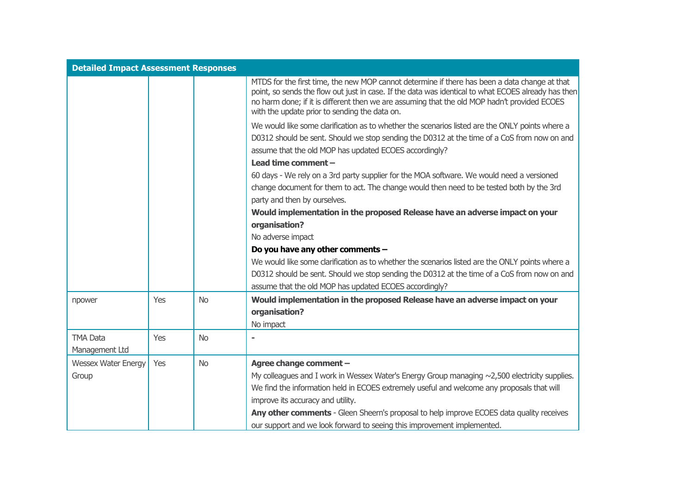| <b>Detailed Impact Assessment Responses</b> |     |           |                                                                                                                                                                                                                                                                                                                                                       |
|---------------------------------------------|-----|-----------|-------------------------------------------------------------------------------------------------------------------------------------------------------------------------------------------------------------------------------------------------------------------------------------------------------------------------------------------------------|
|                                             |     |           | MTDS for the first time, the new MOP cannot determine if there has been a data change at that<br>point, so sends the flow out just in case. If the data was identical to what ECOES already has then<br>no harm done; if it is different then we are assuming that the old MOP hadn't provided ECOES<br>with the update prior to sending the data on. |
|                                             |     |           | We would like some clarification as to whether the scenarios listed are the ONLY points where a                                                                                                                                                                                                                                                       |
|                                             |     |           | D0312 should be sent. Should we stop sending the D0312 at the time of a CoS from now on and<br>assume that the old MOP has updated ECOES accordingly?                                                                                                                                                                                                 |
|                                             |     |           | Lead time comment -                                                                                                                                                                                                                                                                                                                                   |
|                                             |     |           | 60 days - We rely on a 3rd party supplier for the MOA software. We would need a versioned                                                                                                                                                                                                                                                             |
|                                             |     |           | change document for them to act. The change would then need to be tested both by the 3rd                                                                                                                                                                                                                                                              |
|                                             |     |           | party and then by ourselves.                                                                                                                                                                                                                                                                                                                          |
|                                             |     |           | Would implementation in the proposed Release have an adverse impact on your                                                                                                                                                                                                                                                                           |
|                                             |     |           | organisation?                                                                                                                                                                                                                                                                                                                                         |
|                                             |     |           | No adverse impact                                                                                                                                                                                                                                                                                                                                     |
|                                             |     |           | Do you have any other comments -                                                                                                                                                                                                                                                                                                                      |
|                                             |     |           | We would like some clarification as to whether the scenarios listed are the ONLY points where a                                                                                                                                                                                                                                                       |
|                                             |     |           | D0312 should be sent. Should we stop sending the D0312 at the time of a CoS from now on and                                                                                                                                                                                                                                                           |
|                                             |     |           | assume that the old MOP has updated ECOES accordingly?                                                                                                                                                                                                                                                                                                |
| npower                                      | Yes | <b>No</b> | Would implementation in the proposed Release have an adverse impact on your                                                                                                                                                                                                                                                                           |
|                                             |     |           | organisation?                                                                                                                                                                                                                                                                                                                                         |
|                                             |     |           | No impact                                                                                                                                                                                                                                                                                                                                             |
| <b>TMA Data</b>                             | Yes | <b>No</b> |                                                                                                                                                                                                                                                                                                                                                       |
| Management Ltd                              |     |           |                                                                                                                                                                                                                                                                                                                                                       |
| <b>Wessex Water Energy</b>                  | Yes | <b>No</b> | Agree change comment -                                                                                                                                                                                                                                                                                                                                |
| Group                                       |     |           | My colleagues and I work in Wessex Water's Energy Group managing $\sim$ 2,500 electricity supplies.                                                                                                                                                                                                                                                   |
|                                             |     |           | We find the information held in ECOES extremely useful and welcome any proposals that will                                                                                                                                                                                                                                                            |
|                                             |     |           | improve its accuracy and utility.                                                                                                                                                                                                                                                                                                                     |
|                                             |     |           | Any other comments - Gleen Sheern's proposal to help improve ECOES data quality receives                                                                                                                                                                                                                                                              |
|                                             |     |           | our support and we look forward to seeing this improvement implemented.                                                                                                                                                                                                                                                                               |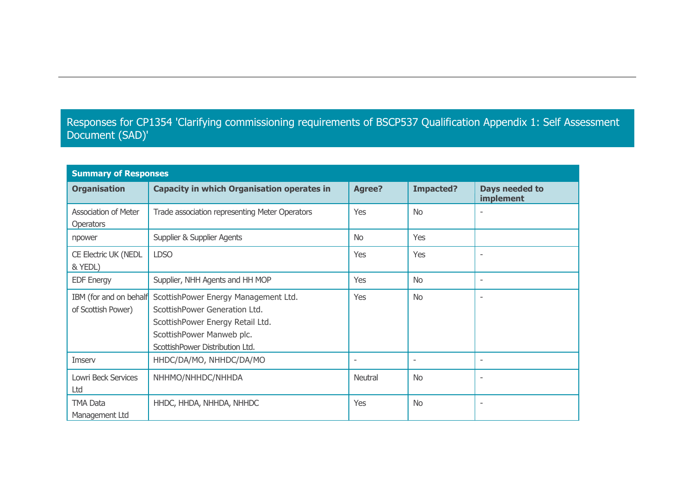#### Responses for CP1354 'Clarifying commissioning requirements of BSCP537 Qualification Appendix 1: Self Assessment Document (SAD)'

| <b>Summary of Responses</b>                     |                                                                                                                                                                           |                          |                          |                             |  |  |  |
|-------------------------------------------------|---------------------------------------------------------------------------------------------------------------------------------------------------------------------------|--------------------------|--------------------------|-----------------------------|--|--|--|
| <b>Organisation</b>                             | <b>Capacity in which Organisation operates in</b>                                                                                                                         | <b>Agree?</b>            | <b>Impacted?</b>         | Days needed to<br>implement |  |  |  |
| <b>Association of Meter</b><br><b>Operators</b> | Trade association representing Meter Operators                                                                                                                            | Yes                      | <b>No</b>                |                             |  |  |  |
| npower                                          | Supplier & Supplier Agents                                                                                                                                                | No.                      | Yes                      |                             |  |  |  |
| <b>CE Electric UK (NEDL</b><br>& YEDL)          | <b>LDSO</b>                                                                                                                                                               | Yes                      | Yes                      | $\overline{\phantom{a}}$    |  |  |  |
| <b>EDF Energy</b>                               | Supplier, NHH Agents and HH MOP                                                                                                                                           | Yes                      | <b>No</b>                | $\overline{\phantom{a}}$    |  |  |  |
| IBM (for and on behalf<br>of Scottish Power)    | ScottishPower Energy Management Ltd.<br>ScottishPower Generation Ltd.<br>ScottishPower Energy Retail Ltd.<br>ScottishPower Manweb plc.<br>ScottishPower Distribution Ltd. | Yes                      | <b>No</b>                | ٠                           |  |  |  |
| Imserv                                          | HHDC/DA/MO, NHHDC/DA/MO                                                                                                                                                   | $\overline{\phantom{a}}$ | $\overline{\phantom{a}}$ | $\sim$                      |  |  |  |
| Lowri Beck Services<br>Ltd                      | NHHMO/NHHDC/NHHDA                                                                                                                                                         | Neutral                  | <b>No</b>                | $\overline{\phantom{a}}$    |  |  |  |
| <b>TMA Data</b><br>Management Ltd               | HHDC, HHDA, NHHDA, NHHDC                                                                                                                                                  | Yes                      | <b>No</b>                | $\overline{\phantom{a}}$    |  |  |  |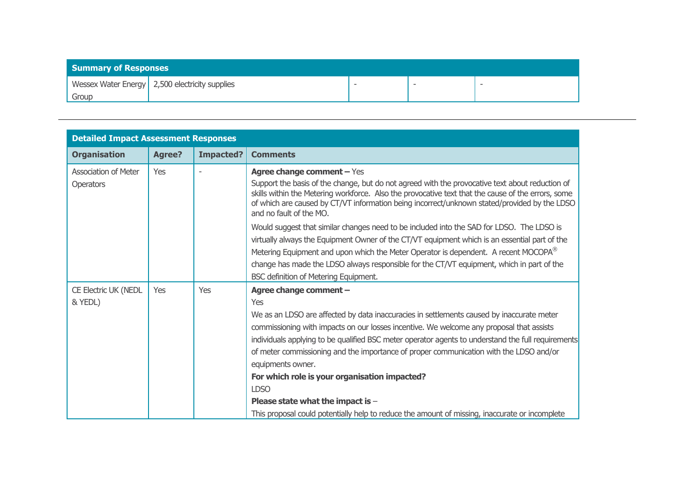| <b>Summary of Responses</b> |                                                  |  |  |
|-----------------------------|--------------------------------------------------|--|--|
|                             | Wessex Water Energy   2,500 electricity supplies |  |  |
| Group                       |                                                  |  |  |

| <b>Detailed Impact Assessment Responses</b>     |               |                  |                                                                                                                                                                                                                                                                                                                                                                                                                                                                                                                                                                                                                                                    |
|-------------------------------------------------|---------------|------------------|----------------------------------------------------------------------------------------------------------------------------------------------------------------------------------------------------------------------------------------------------------------------------------------------------------------------------------------------------------------------------------------------------------------------------------------------------------------------------------------------------------------------------------------------------------------------------------------------------------------------------------------------------|
| <b>Organisation</b>                             | <b>Agree?</b> | <b>Impacted?</b> | <b>Comments</b>                                                                                                                                                                                                                                                                                                                                                                                                                                                                                                                                                                                                                                    |
| <b>Association of Meter</b><br><b>Operators</b> | Yes           |                  | <b>Agree change comment - Yes</b><br>Support the basis of the change, but do not agreed with the provocative text about reduction of<br>skills within the Metering workforce. Also the provocative text that the cause of the errors, some<br>of which are caused by CT/VT information being incorrect/unknown stated/provided by the LDSO<br>and no fault of the MO.                                                                                                                                                                                                                                                                              |
|                                                 |               |                  | Would suggest that similar changes need to be included into the SAD for LDSO. The LDSO is<br>virtually always the Equipment Owner of the CT/VT equipment which is an essential part of the<br>Metering Equipment and upon which the Meter Operator is dependent. A recent MOCOPA <sup>®</sup><br>change has made the LDSO always responsible for the CT/VT equipment, which in part of the<br>BSC definition of Metering Equipment.                                                                                                                                                                                                                |
| <b>CE Electric UK (NEDL</b><br>& YEDL)          | <b>Yes</b>    | <b>Yes</b>       | Agree change comment -<br>Yes<br>We as an LDSO are affected by data inaccuracies in settlements caused by inaccurate meter<br>commissioning with impacts on our losses incentive. We welcome any proposal that assists<br>individuals applying to be qualified BSC meter operator agents to understand the full requirements<br>of meter commissioning and the importance of proper communication with the LDSO and/or<br>equipments owner.<br>For which role is your organisation impacted?<br><b>LDSO</b><br>Please state what the impact is -<br>This proposal could potentially help to reduce the amount of missing, inaccurate or incomplete |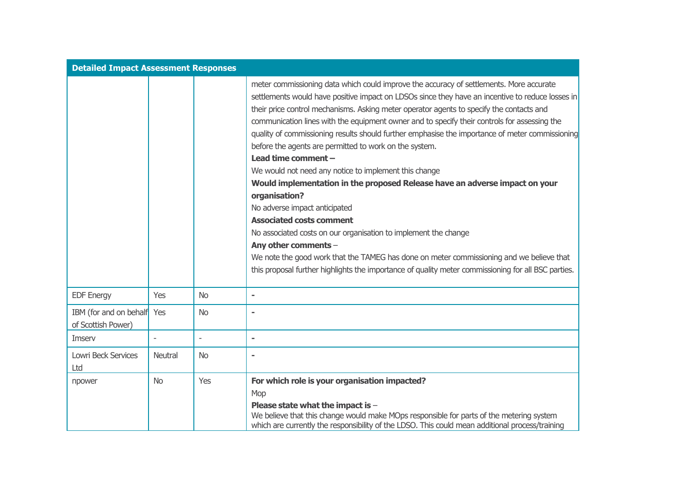| <b>Detailed Impact Assessment Responses</b>  |                |           |                                                                                                                                                                                                                                                                                                                                                                                                                                                                                                                                                                                                                                                                                                                                                                                                                                                                                                                                                                                                                                                                                                        |
|----------------------------------------------|----------------|-----------|--------------------------------------------------------------------------------------------------------------------------------------------------------------------------------------------------------------------------------------------------------------------------------------------------------------------------------------------------------------------------------------------------------------------------------------------------------------------------------------------------------------------------------------------------------------------------------------------------------------------------------------------------------------------------------------------------------------------------------------------------------------------------------------------------------------------------------------------------------------------------------------------------------------------------------------------------------------------------------------------------------------------------------------------------------------------------------------------------------|
|                                              |                |           | meter commissioning data which could improve the accuracy of settlements. More accurate<br>settlements would have positive impact on LDSOs since they have an incentive to reduce losses in<br>their price control mechanisms. Asking meter operator agents to specify the contacts and<br>communication lines with the equipment owner and to specify their controls for assessing the<br>quality of commissioning results should further emphasise the importance of meter commissioning<br>before the agents are permitted to work on the system.<br>Lead time comment -<br>We would not need any notice to implement this change<br>Would implementation in the proposed Release have an adverse impact on your<br>organisation?<br>No adverse impact anticipated<br><b>Associated costs comment</b><br>No associated costs on our organisation to implement the change<br>Any other comments -<br>We note the good work that the TAMEG has done on meter commissioning and we believe that<br>this proposal further highlights the importance of quality meter commissioning for all BSC parties. |
| <b>EDF Energy</b>                            | Yes            | <b>No</b> | $\blacksquare$                                                                                                                                                                                                                                                                                                                                                                                                                                                                                                                                                                                                                                                                                                                                                                                                                                                                                                                                                                                                                                                                                         |
| IBM (for and on behalf<br>of Scottish Power) | Yes            | <b>No</b> |                                                                                                                                                                                                                                                                                                                                                                                                                                                                                                                                                                                                                                                                                                                                                                                                                                                                                                                                                                                                                                                                                                        |
| Imserv                                       |                |           |                                                                                                                                                                                                                                                                                                                                                                                                                                                                                                                                                                                                                                                                                                                                                                                                                                                                                                                                                                                                                                                                                                        |
| Lowri Beck Services<br>Ltd                   | <b>Neutral</b> | <b>No</b> |                                                                                                                                                                                                                                                                                                                                                                                                                                                                                                                                                                                                                                                                                                                                                                                                                                                                                                                                                                                                                                                                                                        |
| npower                                       | <b>No</b>      | Yes       | For which role is your organisation impacted?<br>Mop<br>Please state what the impact is -<br>We believe that this change would make MOps responsible for parts of the metering system<br>which are currently the responsibility of the LDSO. This could mean additional process/training                                                                                                                                                                                                                                                                                                                                                                                                                                                                                                                                                                                                                                                                                                                                                                                                               |